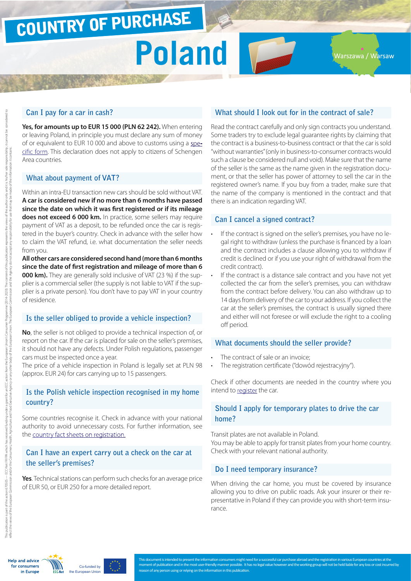## COUNTRY OF PURCHASE

### **Poland** T

Warszawa / Warsaw

#### **Can I pay for a car in cash?**

**Yes, for amounts up to EUR 15 000 (PLN 62 242).** When entering or leaving Poland, in principle you must declare any sum of money of or equivalent to EUR 10 000 and above to customs using a [spe](http://ec.europa.eu/taxation_customs/resources/documents/customs/customs_controls/cash_controls/declaration_forms/declaration_form_pl_en.pdf)[cific form.](http://ec.europa.eu/taxation_customs/resources/documents/customs/customs_controls/cash_controls/declaration_forms/declaration_form_pl_en.pdf) This declaration does not apply to citizens of Schengen Area countries.

#### **What about payment of VAT?**

Within an intra-EU transaction new cars should be sold without VAT. **A car is considered new if no more than 6 months have passed since the date on which it was first registered or if its mileage does not exceed 6 000 km.** In practice, some sellers may require payment of VAT as a deposit, to be refunded once the car is registered in the buyer's country. Check in advance with the seller how to claim the VAT refund, i.e. what documentation the seller needs from you.

**All other cars are considered second hand (more than 6 months since the date of first registration and mileage of more than 6 000 km).** They are generally sold inclusive of VAT (23 %) if the supplier is a commercial seller (the supply is not liable to VAT if the supplier is a private person). You don't have to pay VAT in your country of residence.

#### **Is the seller obliged to provide a vehicle inspection?**

**No**, the seller is not obliged to provide a technical inspection of, or report on the car. If the car is placed for sale on the seller's premises, it should not have any defects. Under Polish regulations, passenger cars must be inspected once a year.

The price of a vehicle inspection in Poland is legally set at PLN 98 (approx. EUR 24) for cars carrying up to 15 passengers.

#### **Is the Polish vehicle inspection recognised in my home country?**

Some countries recognise it. Check in advance with your national authority to avoid unnecessary costs. For further information, see the [country fact sheets on registration.](http://www.europe-consommateurs.eu/en/consumer-topics/on-the-road/buying-a-car/cross-border-car-purchase-and-registration/)

#### **Can I have an expert carry out a check on the car at the seller's premises?**

**Yes**. Technical stations can perform such checks for an average price of EUR 50, or EUR 250 for a more detailed report.

#### **What should I look out for in the contract of sale?**

Read the contract carefully and only sign contracts you understand. Some traders try to exclude legal guarantee rights by claiming that the contract is a business-to-business contract or that the car is sold "without warranties" (only in business-to-consumer contracts would such a clause be considered null and void). Make sure that the name of the seller is the same as the name given in the registration document, or that the seller has power of attorney to sell the car in the registered owner's name. If you buy from a trader, make sure that the name of the company is mentioned in the contract and that there is an indication regarding VAT.

#### **Can I cancel a signed contract?**

- If the contract is signed on the seller's premises, you have no legal right to withdraw (unless the purchase is financed by a loan and the contract includes a clause allowing you to withdraw if credit is declined or if you use your right of withdrawal from the credit contract).
- If the contract is a distance sale contract and you have not yet collected the car from the seller's premises, you can withdraw from the contract before delivery. You can also withdraw up to 14 days from delivery of the car to your address. If you collect the car at the seller's premises, the contract is usually signed there and either will not foresee or will exclude the right to a cooling off period.

#### **What documents should the seller provide?**

- The contract of sale or an invoice:
- The registration certificate ("dowód rejestracyjny").

Check if other documents are needed in the country where you intend to [register](http://www.europe-consommateurs.eu/en/consumer-topics/on-the-road/buying-a-car/cross-border-car-purchase-and-registration/) the car.

#### **Should I apply for temporary plates to drive the car home?**

Transit plates are not available in Poland. You may be able to apply for transit plates from your home country. Check with your relevant national authority.

#### **Do I need temporary insurance?**

When driving the car home, you must be covered by insurance allowing you to drive on public roads. Ask your insurer or their representative in Poland if they can provide you with short-term insurance.